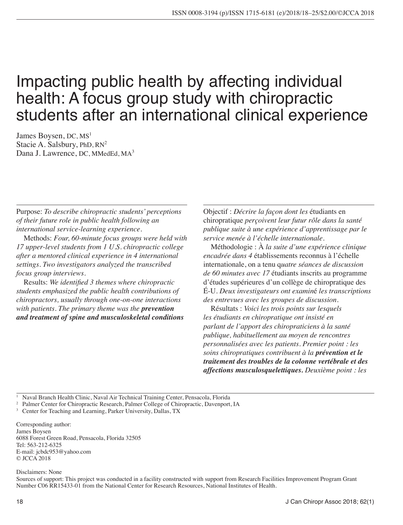# Impacting public health by affecting individual health: A focus group study with chiropractic students after an international clinical experience

James Boysen, DC, MS<sup>1</sup> Stacie A. Salsbury, PhD,  $RN^2$ Dana J. Lawrence, DC, MMedEd, MA<sup>3</sup>

Purpose: *To describe chiropractic students' perceptions of their future role in public health following an international service-learning experience.* 

Methods: *Four, 60-minute focus groups were held with 17 upper-level students from 1 U.S. chiropractic college after a mentored clinical experience in 4 international settings. Two investigators analyzed the transcribed focus group interviews.* 

Results: *We identified 3 themes where chiropractic students emphasized the public health contributions of chiropractors, usually through one-on-one interactions with patients. The primary theme was the prevention and treatment of spine and musculoskeletal conditions* 

Objectif : *Décrire la façon dont les* étudiants en chiropratique *perçoivent leur futur rôle dans la santé publique suite à une expérience d'apprentissage par le service menée à l'échelle internationale.* 

Méthodologie : À *la suite d'une expérience clinique encadrée dans 4* établissements reconnus à l'échelle internationale, on a tenu q*uatre séances de discussion de 60 minutes avec 17* étudiants inscrits au programme d'études supérieures d'un collège de chiropratique des É-U. *Deux investigateurs ont examin*é *les transcriptions des entrevues avec les groupes de discussion.* 

Résultats : *Voici les trois points sur lesquels les étudiants en chiropratique ont insisté en parlant de l'apport des chiropraticiens à la santé publique, habituellement au moyen de rencontres personnalisées avec les patients. Premier point : les soins chiropratiques contribuent à la prévention et le traitement des troubles de la colonne vertébrale et des affections musculosquelettiques. Deuxième point : les* 

1 Naval Branch Health Clinic, Naval Air Technical Training Center, Pensacola, Florida

<sup>2</sup> Palmer Center for Chiropractic Research, Palmer College of Chiropractic, Davenport, IA

<sup>3</sup> Center for Teaching and Learning, Parker University, Dallas, TX

Corresponding author: James Boysen 6088 Forest Green Road, Pensacola, Florida 32505 Tel: 563-212-6325 E-mail: jcbdc953@yahoo.com © JCCA 2018

Disclaimers: None

Sources of support: This project was conducted in a facility constructed with support from Research Facilities Improvement Program Grant Number C06 RR15433-01 from the National Center for Research Resources, National Institutes of Health.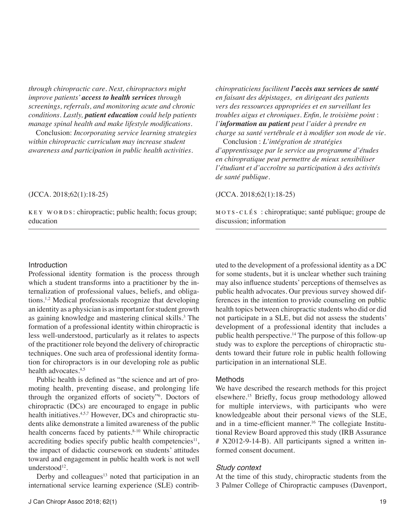*through chiropractic care. Next, chiropractors might improve patients' access to health services through screenings, referrals, and monitoring acute and chronic conditions. Lastly, patient education could help patients manage spinal health and make lifestyle modifications.*

Conclusion: *Incorporating service learning strategies within chiropractic curriculum may increase student awareness and participation in public health activities.* 

*chiropraticiens facilitent l'accès aux services de santé en faisant des dépistages, en dirigeant des patients vers des ressources appropriées et en surveillant les troubles aigus et chroniques. Enfin, le troisième point* : *l'information au patient peut l'aider à prendre en charge sa santé vertébrale et à modifier son mode de vie.*

Conclusion : *L'intégration de stratégies d'apprentissage par le service au programme d'études en chiropratique peut permettre de mieux sensibiliser l'étudiant et d'accroître sa participation à des activités de santé publique.* 

## (JCCA. 2018;62(1):18-25)

key words: chiropractic; public health; focus group; education

#### (JCCA. 2018;62(1):18-25)

mots-clés : chiropratique; santé publique; groupe de discussion; information

### Introduction

Professional identity formation is the process through which a student transforms into a practitioner by the internalization of professional values, beliefs, and obligations.1,2 Medical professionals recognize that developing an identity as a physician is as important for student growth as gaining knowledge and mastering clinical skills.<sup>3</sup> The formation of a professional identity within chiropractic is less well-understood, particularly as it relates to aspects of the practitioner role beyond the delivery of chiropractic techniques. One such area of professional identity formation for chiropractors is in our developing role as public health advocates.<sup>4,5</sup>

Public health is defined as "the science and art of promoting health, preventing disease, and prolonging life through the organized efforts of society"6 . Doctors of chiropractic (DCs) are encouraged to engage in public health initiatives.<sup>4,5,7</sup> However, DCs and chiropractic students alike demonstrate a limited awareness of the public health concerns faced by patients.<sup>8-10</sup> While chiropractic accrediting bodies specify public health competencies<sup>11</sup>, the impact of didactic coursework on students' attitudes toward and engagement in public health work is not well understood $12$ .

Derby and colleagues<sup>13</sup> noted that participation in an international service learning experience (SLE) contrib-

uted to the development of a professional identity as a DC for some students, but it is unclear whether such training may also influence students' perceptions of themselves as public health advocates. Our previous survey showed differences in the intention to provide counseling on public health topics between chiropractic students who did or did not participate in a SLE, but did not assess the students' development of a professional identity that includes a public health perspective.14 The purpose of this follow-up study was to explore the perceptions of chiropractic students toward their future role in public health following participation in an international SLE.

#### Methods

We have described the research methods for this project elsewhere.15 Briefly, focus group methodology allowed for multiple interviews, with participants who were knowledgeable about their personal views of the SLE, and in a time-efficient manner.<sup>16</sup> The collegiate Institutional Review Board approved this study (IRB Assurance # X2012-9-14-B). All participants signed a written informed consent document.

#### *Study context*

At the time of this study, chiropractic students from the 3 Palmer College of Chiropractic campuses (Davenport,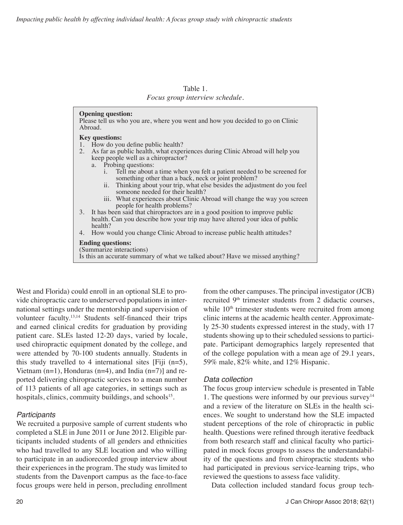| Table 1.                        |
|---------------------------------|
| Focus group interview schedule. |

| <b>Opening question:</b><br>Please tell us who you are, where you went and how you decided to go on Clinic<br>Abroad.                           |
|-------------------------------------------------------------------------------------------------------------------------------------------------|
| <b>Key questions:</b>                                                                                                                           |
| 1. How do you define public health?                                                                                                             |
| As far as public health, what experiences during Clinic Abroad will help you<br>2.<br>keep people well as a chiropractor?                       |
| a. Probing questions:                                                                                                                           |
| Tell me about a time when you felt a patient needed to be screened for<br>$\mathbf{1}$ .<br>something other than a back, neck or joint problem? |
| ii. Thinking about your trip, what else besides the adjustment do you feel<br>someone needed for their health?                                  |
| iii. What experiences about Clinic Abroad will change the way you screen<br>people for health problems?                                         |
| 3. It has been said that chiropractors are in a good position to improve public                                                                 |
| health. Can you describe how your trip may have altered your idea of public<br>health?                                                          |
| How would you change Clinic Abroad to increase public health attitudes?<br>4.                                                                   |
| <b>Ending questions:</b><br>(Summarize interactions)<br>Is this an accurate summary of what we talked about? Have we missed anything?           |

West and Florida) could enroll in an optional SLE to provide chiropractic care to underserved populations in international settings under the mentorship and supervision of volunteer faculty.13,14 Students self-financed their trips and earned clinical credits for graduation by providing patient care. SLEs lasted 12-20 days, varied by locale, used chiropractic equipment donated by the college, and were attended by 70-100 students annually. Students in this study travelled to 4 international sites [Fiji  $(n=5)$ , Vietnam  $(n=1)$ , Honduras  $(n=4)$ , and India  $(n=7)$ ] and reported delivering chiropractic services to a mean number of 113 patients of all age categories, in settings such as hospitals, clinics, commuity buildings, and schools<sup>15</sup>.

## *Participants*

We recruited a purposive sample of current students who completed a SLE in June 2011 or June 2012. Eligible participants included students of all genders and ethnicities who had travelled to any SLE location and who willing to participate in an audiorecorded group interview about their experiences in the program. The study was limited to students from the Davenport campus as the face-to-face focus groups were held in person, precluding enrollment

from the other campuses. The principal investigator (JCB) recruited 9<sup>th</sup> trimester students from 2 didactic courses, while  $10<sup>th</sup>$  trimester students were recruited from among clinic interns at the academic health center. Approximately 25-30 students expressed interest in the study, with 17 students showing up to their scheduled sessions to participate. Participant demographics largely represented that of the college population with a mean age of 29.1 years, 59% male, 82% white, and 12% Hispanic.

## *Data collection*

The focus group interview schedule is presented in Table 1. The questions were informed by our previous survey $14$ and a review of the literature on SLEs in the health sciences. We sought to understand how the SLE impacted student perceptions of the role of chiropractic in public health. Questions were refined through iterative feedback from both research staff and clinical faculty who participated in mock focus groups to assess the understandability of the questions and from chiropractic students who had participated in previous service-learning trips, who reviewed the questions to assess face validity.

Data collection included standard focus group tech-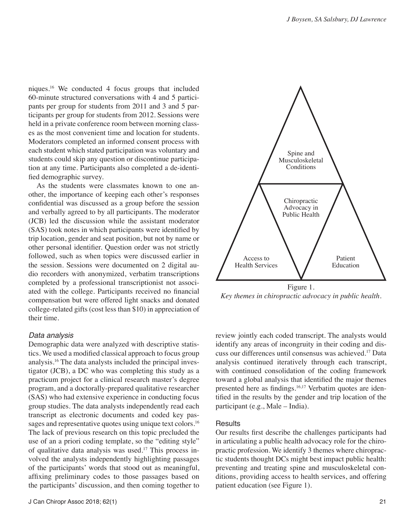niques.16 We conducted 4 focus groups that included 60-minute structured conversations with 4 and 5 participants per group for students from 2011 and 3 and 5 participants per group for students from 2012. Sessions were held in a private conference room between morning classes as the most convenient time and location for students. Moderators completed an informed consent process with each student which stated participation was voluntary and students could skip any question or discontinue participation at any time. Participants also completed a de-identified demographic survey.

As the students were classmates known to one another, the importance of keeping each other's responses confidential was discussed as a group before the session and verbally agreed to by all participants. The moderator (JCB) led the discussion while the assistant moderator (SAS) took notes in which participants were identified by trip location, gender and seat position, but not by name or other personal identifier. Question order was not strictly followed, such as when topics were discussed earlier in the session. Sessions were documented on 2 digital audio recorders with anonymized, verbatim transcriptions completed by a professional transcriptionist not associated with the college. Participants received no financial compensation but were offered light snacks and donated college-related gifts (cost less than \$10) in appreciation of their time.

#### *Data analysis*

Demographic data were analyzed with descriptive statistics. We used a modified classical approach to focus group analysis.16 The data analysts included the principal investigator (JCB), a DC who was completing this study as a practicum project for a clinical research master's degree program, and a doctorally-prepared qualitative researcher (SAS) who had extensive experience in conducting focus group studies. The data analysts independently read each transcript as electronic documents and coded key passages and representative quotes using unique text colors.<sup>16</sup> The lack of previous research on this topic precluded the use of an a priori coding template, so the "editing style" of qualitative data analysis was used.17 This process involved the analysts independently highlighting passages of the participants' words that stood out as meaningful, affixing preliminary codes to those passages based on the participants' discussion, and then coming together to



*Key themes in chiropractic advocacy in public health.*

review jointly each coded transcript. The analysts would identify any areas of incongruity in their coding and discuss our differences until consensus was achieved.17 Data analysis continued iteratively through each transcript, with continued consolidation of the coding framework toward a global analysis that identified the major themes presented here as findings.<sup>16,17</sup> Verbatim quotes are identified in the results by the gender and trip location of the participant (e.g., Male – India).

#### **Results**

Our results first describe the challenges participants had in articulating a public health advocacy role for the chiropractic profession. We identify 3 themes where chiropractic students thought DCs might best impact public health: preventing and treating spine and musculoskeletal conditions, providing access to health services, and offering patient education (see Figure 1).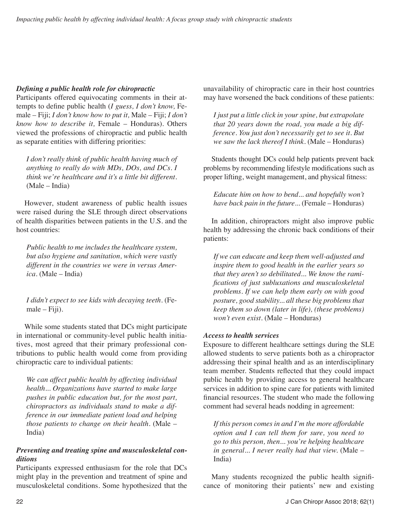## *Defining a public health role for chiropractic*

Participants offered equivocating comments in their attempts to define public health (*I guess, I don't know,* Female – Fiji; *I don't know how to put it,* Male – Fiji; *I don't know how to describe it,* Female – Honduras). Others viewed the professions of chiropractic and public health as separate entities with differing priorities:

*I don't really think of public health having much of anything to really do with MDs, DOs, and DCs. I think we're healthcare and it's a little bit different*. (Male – India)

However, student awareness of public health issues were raised during the SLE through direct observations of health disparities between patients in the U.S. and the host countries:

*Public health to me includes the healthcare system, but also hygiene and sanitation, which were vastly different in the countries we were in versus America*. (Male – India)

*I didn't expect to see kids with decaying teeth.* (Female – Fiji).

While some students stated that DCs might participate in international or community-level public health initiatives, most agreed that their primary professional contributions to public health would come from providing chiropractic care to individual patients:

*We can affect public health by affecting individual health... Organizations have started to make large pushes in public education but, for the most part, chiropractors as individuals stand to make a difference in our immediate patient load and helping those patients to change on their health.* (Male – India)

# *Preventing and treating spine and musculoskeletal conditions*

Participants expressed enthusiasm for the role that DCs might play in the prevention and treatment of spine and musculoskeletal conditions. Some hypothesized that the unavailability of chiropractic care in their host countries may have worsened the back conditions of these patients:

*I just put a little click in your spine, but extrapolate that 20 years down the road, you made a big difference. You just don't necessarily get to see it. But we saw the lack thereof I think.* (Male – Honduras)

Students thought DCs could help patients prevent back problems by recommending lifestyle modifications such as proper lifting, weight management, and physical fitness:

*Educate him on how to bend... and hopefully won't have back pain in the future...* (Female – Honduras)

In addition, chiropractors might also improve public health by addressing the chronic back conditions of their patients:

*If we can educate and keep them well-adjusted and inspire them to good health in the earlier years so that they aren't so debilitated... We know the ramifications of just subluxations and musculoskeletal problems. If we can help them early on with good posture, good stability... all these big problems that keep them so down (later in life), (these problems) won't even exist*. (Male – Honduras)

## *Access to health services*

Exposure to different healthcare settings during the SLE allowed students to serve patients both as a chiropractor addressing their spinal health and as an interdisciplinary team member. Students reflected that they could impact public health by providing access to general healthcare services in addition to spine care for patients with limited financial resources. The student who made the following comment had several heads nodding in agreement:

*If this person comes in and I'm the more affordable option and I can tell them for sure, you need to go to this person, then... you're helping healthcare in general... I never really had that view.* (Male – India)

Many students recognized the public health significance of monitoring their patients' new and existing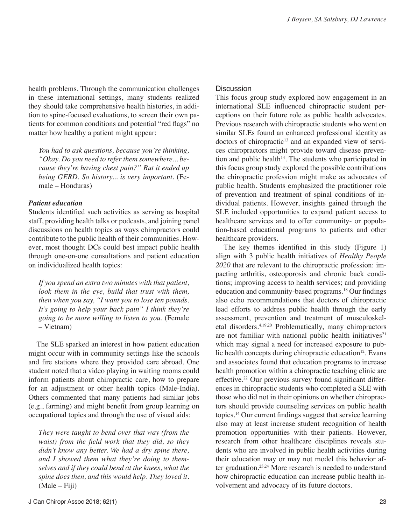health problems. Through the communication challenges in these international settings, many students realized they should take comprehensive health histories, in addition to spine-focused evaluations, to screen their own patients for common conditions and potential "red flags" no matter how healthy a patient might appear:

*You had to ask questions, because you're thinking, "Okay. Do you need to refer them somewhere... because they're having chest pain?" But it ended up being GERD. So history... is very important.* (Female – Honduras)

#### *Patient education*

Students identified such activities as serving as hospital staff, providing health talks or podcasts, and joining panel discussions on health topics as ways chiropractors could contribute to the public health of their communities. However, most thought DCs could best impact public health through one-on-one consultations and patient education on individualized health topics:

*If you spend an extra two minutes with that patient, look them in the eye, build that trust with them, then when you say, "I want you to lose ten pounds. It's going to help your back pain" I think they're going to be more willing to listen to you.* (Female – Vietnam)

The SLE sparked an interest in how patient education might occur with in community settings like the schools and fire stations where they provided care abroad. One student noted that a video playing in waiting rooms could inform patients about chiropractic care, how to prepare for an adjustment or other health topics (Male-India). Others commented that many patients had similar jobs (e.g., farming) and might benefit from group learning on occupational topics and through the use of visual aids:

*They were taught to bend over that way (from the waist) from the field work that they did, so they didn't know any better. We had a dry spine there, and I showed them what they're doing to themselves and if they could bend at the knees, what the spine does then, and this would help. They loved it.* (Male – Fiji)

#### **Discussion**

This focus group study explored how engagement in an international SLE influenced chiropractic student perceptions on their future role as public health advocates. Previous research with chiropractic students who went on similar SLEs found an enhanced professional identity as doctors of chiropractic<sup>13</sup> and an expanded view of services chiropractors might provide toward disease prevention and public health $14$ . The students who participated in this focus group study explored the possible contributions the chiropractic profession might make as advocates of public health. Students emphasized the practitioner role of prevention and treatment of spinal conditions of individual patients. However, insights gained through the SLE included opportunities to expand patient access to healthcare services and to offer community- or population-based educational programs to patients and other healthcare providers.

The key themes identified in this study (Figure 1) align with 3 public health initiatives of *Healthy People 2020* that are relevant to the chiropractic profession: impacting arthritis, osteoporosis and chronic back conditions; improving access to health services; and providing education and community-based programs.18 Our findings also echo recommendations that doctors of chiropractic lead efforts to address public health through the early assessment, prevention and treatment of musculoskeletal disorders.4,19,20 Problematically, many chiropractors are not familiar with national public health initiatives $21$ which may signal a need for increased exposure to public health concepts during chiropractic education<sup>12</sup>. Evans and associates found that education programs to increase health promotion within a chiropractic teaching clinic are effective.22 Our previous survey found significant differences in chiropractic students who completed a SLE with those who did not in their opinions on whether chiropractors should provide counseling services on public health topics.14 Our current findings suggest that service learning also may at least increase student recognition of health promotion opportunities with their patients. However, research from other healthcare disciplines reveals students who are involved in public health activities during their education may or may not model this behavior after graduation.23,24 More research is needed to understand how chiropractic education can increase public health involvement and advocacy of its future doctors.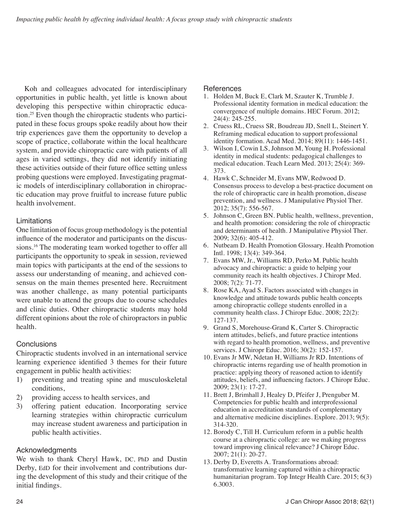Koh and colleagues advocated for interdisciplinary opportunities in public health, yet little is known about developing this perspective within chiropractic education.25 Even though the chiropractic students who participated in these focus groups spoke readily about how their trip experiences gave them the opportunity to develop a scope of practice, collaborate within the local healthcare system, and provide chiropractic care with patients of all ages in varied settings, they did not identify initiating these activities outside of their future office setting unless probing questions were employed. Investigating pragmatic models of interdisciplinary collaboration in chiropractic education may prove fruitful to increase future public health involvement.

## Limitations

One limitation of focus group methodology is the potential influence of the moderator and participants on the discussions.<sup>16</sup> The moderating team worked together to offer all participants the opportunity to speak in session, reviewed main topics with participants at the end of the sessions to assess our understanding of meaning, and achieved consensus on the main themes presented here. Recruitment was another challenge, as many potential participants were unable to attend the groups due to course schedules and clinic duties. Other chiropractic students may hold different opinions about the role of chiropractors in public health.

## **Conclusions**

Chiropractic students involved in an international service learning experience identified 3 themes for their future engagement in public health activities:

- 1) preventing and treating spine and musculoskeletal conditions,
- 2) providing access to health services, and
- 3) offering patient education. Incorporating service learning strategies within chiropractic curriculum may increase student awareness and participation in public health activities.

## Acknowledgments

We wish to thank Cheryl Hawk, DC, PhD and Dustin Derby, EdD for their involvement and contributions during the development of this study and their critique of the initial findings.

## References

- 1. Holden M, Buck E, Clark M, Szauter K, Trumble J. Professional identity formation in medical education: the convergence of multiple domains. HEC Forum. 2012; 24(4): 245-255.
- 2. Cruess RL, Cruess SR, Boudreau JD, Snell L, Steinert Y. Reframing medical education to support professional identity formation. Acad Med. 2014; 89(11): 1446-1451.
- 3. Wilson I, Cowin LS, Johnson M, Young H. Professional identity in medical students: pedagogical challenges to medical education. Teach Learn Med. 2013; 25(4): 369- 373.
- 4. Hawk C, Schneider M, Evans MW, Redwood D. Consensus process to develop a best-practice document on the role of chiropractic care in health promotion, disease prevention, and wellness. J Manipulative Physiol Ther. 2012; 35(7): 556-567.
- 5. Johnson C, Green BN. Public health, wellness, prevention, and health promotion: considering the role of chiropractic and determinants of health. J Manipulative Physiol Ther. 2009; 32(6): 405-412.
- 6. Nutbeam D. Health Promotion Glossary. Health Promotion Intl. 1998; 13(4): 349-364.
- 7. Evans MW, Jr., Williams RD, Perko M. Public health advocacy and chiropractic: a guide to helping your community reach its health objectives. J Chiropr Med. 2008; 7(2): 71-77.
- 8. Rose KA, Ayad S. Factors associated with changes in knowledge and attitude towards public health concepts among chiropractic college students enrolled in a community health class. J Chiropr Educ. 2008; 22(2): 127-137.
- 9. Grand S, Morehouse-Grand K, Carter S. Chiropractic intern attitudes, beliefs, and future practice intentions with regard to health promotion, wellness, and preventive services. J Chiropr Educ. 2016; 30(2): 152-157.
- 10. Evans Jr MW, Ndetan H, Williams Jr RD. Intentions of chiropractic interns regarding use of health promotion in practice: applying theory of reasoned action to identify attitudes, beliefs, and influencing factors. J Chiropr Educ. 2009; 23(1): 17-27.
- 11. Brett J, Brimhall J, Healey D, Pfeifer J, Prenguber M. Competencies for public health and interprofessional education in accreditation standards of complementary and alternative medicine disciplines. Explore. 2013; 9(5): 314-320.
- 12. Borody C, Till H. Curriculum reform in a public health course at a chiropractic college: are we making progress toward improving clinical relevance? J Chiropr Educ. 2007; 21(1): 20-27.
- 13. Derby D, Everetts A. Transformations abroad: transformative learning captured within a chiropractic humanitarian program. Top Integr Health Care. 2015; 6(3) 6.3003.